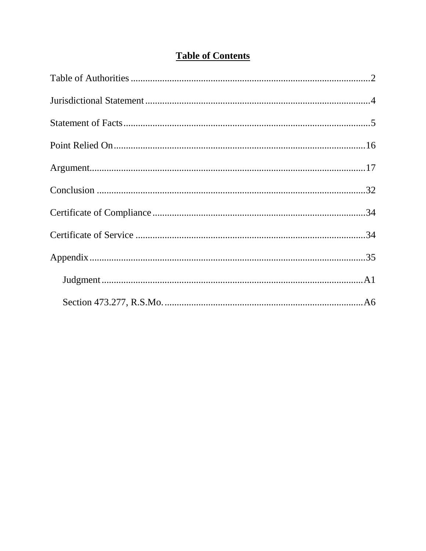# **Table of Contents**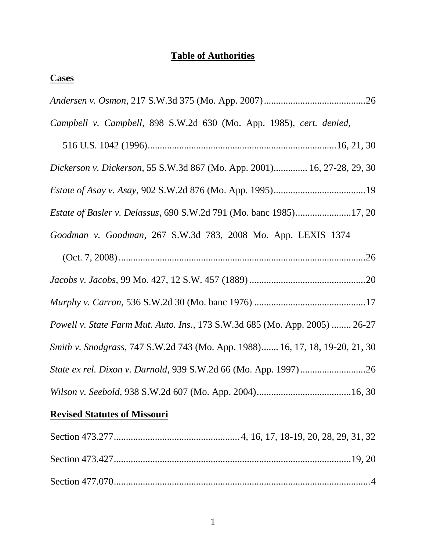# **Table of Authorities**

| <b>Cases</b>                                                                 |
|------------------------------------------------------------------------------|
|                                                                              |
| Campbell v. Campbell, 898 S.W.2d 630 (Mo. App. 1985), cert. denied,          |
|                                                                              |
| Dickerson v. Dickerson, 55 S.W.3d 867 (Mo. App. 2001) 16, 27-28, 29, 30      |
|                                                                              |
| <i>Estate of Basler v. Delassus, 690 S.W.2d 791 (Mo. banc 1985)17, 20</i>    |
| Goodman v. Goodman, 267 S.W.3d 783, 2008 Mo. App. LEXIS 1374                 |
|                                                                              |
|                                                                              |
|                                                                              |
| Powell v. State Farm Mut. Auto. Ins., 173 S.W.3d 685 (Mo. App. 2005)  26-27  |
| Smith v. Snodgrass, 747 S.W.2d 743 (Mo. App. 1988) 16, 17, 18, 19-20, 21, 30 |
|                                                                              |
|                                                                              |
| <b>Revised Statutes of Missouri</b>                                          |
|                                                                              |
|                                                                              |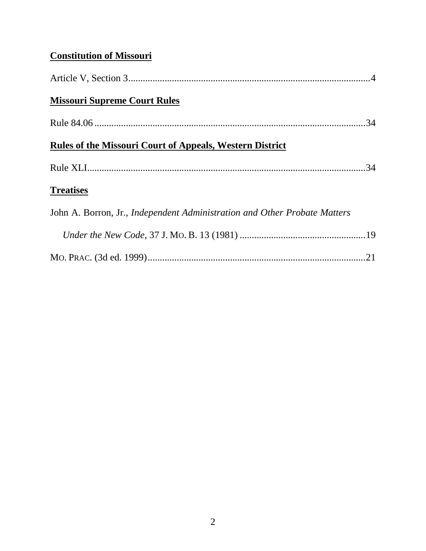# **Constitution of Missouri**

| <b>Missouri Supreme Court Rules</b>                                              |  |
|----------------------------------------------------------------------------------|--|
|                                                                                  |  |
| <b>Rules of the Missouri Court of Appeals, Western District</b>                  |  |
|                                                                                  |  |
| <b>Treatises</b>                                                                 |  |
| John A. Borron, Jr., <i>Independent Administration and Other Probate Matters</i> |  |
|                                                                                  |  |
|                                                                                  |  |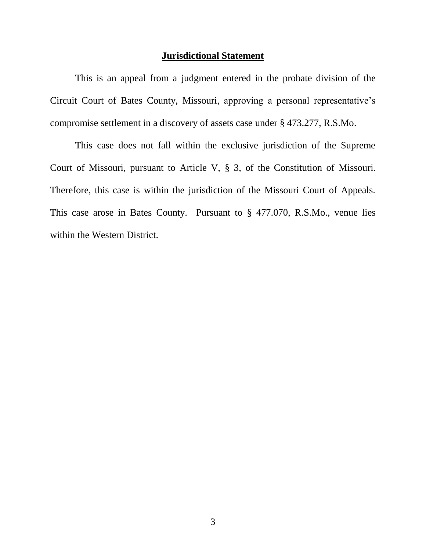## **Jurisdictional Statement**

This is an appeal from a judgment entered in the probate division of the Circuit Court of Bates County, Missouri, approving a personal representative"s compromise settlement in a discovery of assets case under § 473.277, R.S.Mo.

This case does not fall within the exclusive jurisdiction of the Supreme Court of Missouri, pursuant to Article V, § 3, of the Constitution of Missouri. Therefore, this case is within the jurisdiction of the Missouri Court of Appeals. This case arose in Bates County. Pursuant to § 477.070, R.S.Mo., venue lies within the Western District.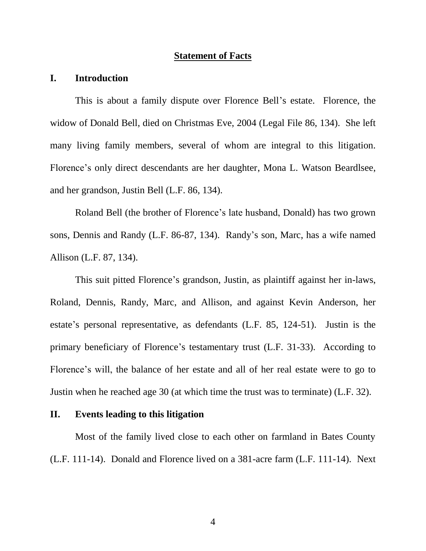#### **Statement of Facts**

# **I. Introduction**

This is about a family dispute over Florence Bell"s estate. Florence, the widow of Donald Bell, died on Christmas Eve, 2004 (Legal File 86, 134). She left many living family members, several of whom are integral to this litigation. Florence's only direct descendants are her daughter, Mona L. Watson Beardlsee, and her grandson, Justin Bell (L.F. 86, 134).

Roland Bell (the brother of Florence"s late husband, Donald) has two grown sons, Dennis and Randy (L.F. 86-87, 134). Randy"s son, Marc, has a wife named Allison (L.F. 87, 134).

This suit pitted Florence"s grandson, Justin, as plaintiff against her in-laws, Roland, Dennis, Randy, Marc, and Allison, and against Kevin Anderson, her estate's personal representative, as defendants (L.F. 85, 124-51). Justin is the primary beneficiary of Florence's testamentary trust (L.F. 31-33). According to Florence"s will, the balance of her estate and all of her real estate were to go to Justin when he reached age 30 (at which time the trust was to terminate) (L.F. 32).

### **II. Events leading to this litigation**

Most of the family lived close to each other on farmland in Bates County (L.F. 111-14). Donald and Florence lived on a 381-acre farm (L.F. 111-14). Next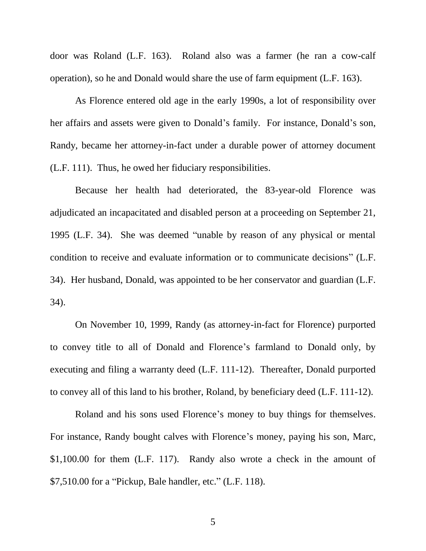door was Roland (L.F. 163). Roland also was a farmer (he ran a cow-calf operation), so he and Donald would share the use of farm equipment (L.F. 163).

As Florence entered old age in the early 1990s, a lot of responsibility over her affairs and assets were given to Donald's family. For instance, Donald's son, Randy, became her attorney-in-fact under a durable power of attorney document (L.F. 111). Thus, he owed her fiduciary responsibilities.

Because her health had deteriorated, the 83-year-old Florence was adjudicated an incapacitated and disabled person at a proceeding on September 21, 1995 (L.F. 34). She was deemed "unable by reason of any physical or mental condition to receive and evaluate information or to communicate decisions" (L.F. 34). Her husband, Donald, was appointed to be her conservator and guardian (L.F. 34).

On November 10, 1999, Randy (as attorney-in-fact for Florence) purported to convey title to all of Donald and Florence"s farmland to Donald only, by executing and filing a warranty deed (L.F. 111-12). Thereafter, Donald purported to convey all of this land to his brother, Roland, by beneficiary deed (L.F. 111-12).

Roland and his sons used Florence's money to buy things for themselves. For instance, Randy bought calves with Florence"s money, paying his son, Marc, \$1,100.00 for them (L.F. 117). Randy also wrote a check in the amount of \$7,510.00 for a "Pickup, Bale handler, etc." (L.F. 118).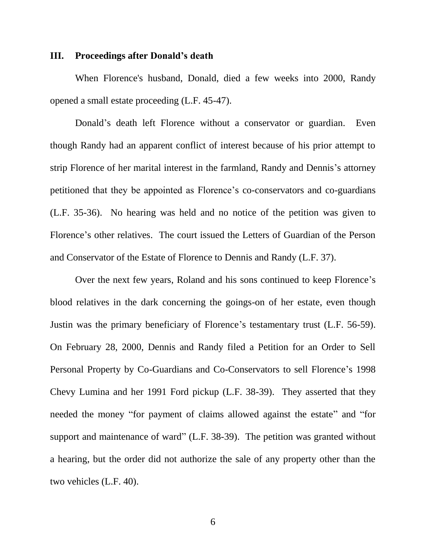#### **III. Proceedings after Donald's death**

When Florence's husband, Donald, died a few weeks into 2000, Randy opened a small estate proceeding (L.F. 45-47).

Donald"s death left Florence without a conservator or guardian. Even though Randy had an apparent conflict of interest because of his prior attempt to strip Florence of her marital interest in the farmland, Randy and Dennis"s attorney petitioned that they be appointed as Florence"s co-conservators and co-guardians (L.F. 35-36). No hearing was held and no notice of the petition was given to Florence's other relatives. The court issued the Letters of Guardian of the Person and Conservator of the Estate of Florence to Dennis and Randy (L.F. 37).

Over the next few years, Roland and his sons continued to keep Florence's blood relatives in the dark concerning the goings-on of her estate, even though Justin was the primary beneficiary of Florence's testamentary trust (L.F. 56-59). On February 28, 2000, Dennis and Randy filed a Petition for an Order to Sell Personal Property by Co-Guardians and Co-Conservators to sell Florence's 1998 Chevy Lumina and her 1991 Ford pickup (L.F. 38-39). They asserted that they needed the money "for payment of claims allowed against the estate" and "for support and maintenance of ward" (L.F. 38-39). The petition was granted without a hearing, but the order did not authorize the sale of any property other than the two vehicles (L.F. 40).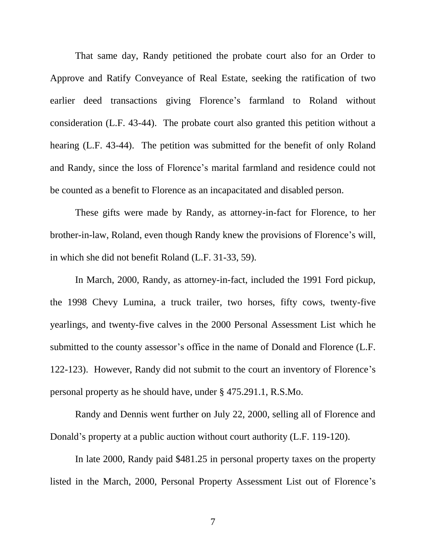That same day, Randy petitioned the probate court also for an Order to Approve and Ratify Conveyance of Real Estate, seeking the ratification of two earlier deed transactions giving Florence"s farmland to Roland without consideration (L.F. 43-44). The probate court also granted this petition without a hearing (L.F. 43-44). The petition was submitted for the benefit of only Roland and Randy, since the loss of Florence"s marital farmland and residence could not be counted as a benefit to Florence as an incapacitated and disabled person.

These gifts were made by Randy, as attorney-in-fact for Florence, to her brother-in-law, Roland, even though Randy knew the provisions of Florence"s will, in which she did not benefit Roland (L.F. 31-33, 59).

In March, 2000, Randy, as attorney-in-fact, included the 1991 Ford pickup, the 1998 Chevy Lumina, a truck trailer, two horses, fifty cows, twenty-five yearlings, and twenty-five calves in the 2000 Personal Assessment List which he submitted to the county assessor's office in the name of Donald and Florence (L.F. 122-123). However, Randy did not submit to the court an inventory of Florence"s personal property as he should have, under § 475.291.1, R.S.Mo.

Randy and Dennis went further on July 22, 2000, selling all of Florence and Donald's property at a public auction without court authority (L.F. 119-120).

In late 2000, Randy paid \$481.25 in personal property taxes on the property listed in the March, 2000, Personal Property Assessment List out of Florence"s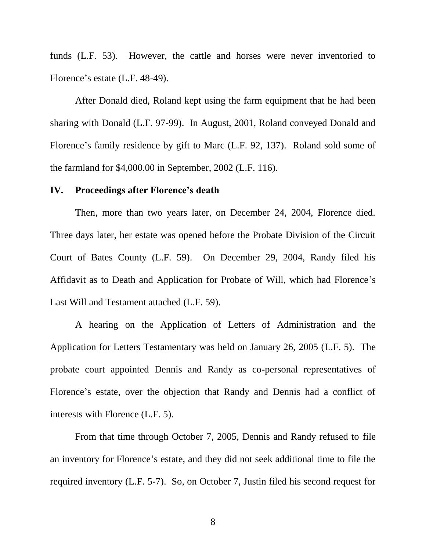funds (L.F. 53). However, the cattle and horses were never inventoried to Florence's estate (L.F. 48-49).

After Donald died, Roland kept using the farm equipment that he had been sharing with Donald (L.F. 97-99). In August, 2001, Roland conveyed Donald and Florence's family residence by gift to Marc (L.F. 92, 137). Roland sold some of the farmland for \$4,000.00 in September, 2002 (L.F. 116).

## **IV. Proceedings after Florence's death**

Then, more than two years later, on December 24, 2004, Florence died. Three days later, her estate was opened before the Probate Division of the Circuit Court of Bates County (L.F. 59). On December 29, 2004, Randy filed his Affidavit as to Death and Application for Probate of Will, which had Florence"s Last Will and Testament attached (L.F. 59).

A hearing on the Application of Letters of Administration and the Application for Letters Testamentary was held on January 26, 2005 (L.F. 5). The probate court appointed Dennis and Randy as co-personal representatives of Florence"s estate, over the objection that Randy and Dennis had a conflict of interests with Florence (L.F. 5).

From that time through October 7, 2005, Dennis and Randy refused to file an inventory for Florence"s estate, and they did not seek additional time to file the required inventory (L.F. 5-7). So, on October 7, Justin filed his second request for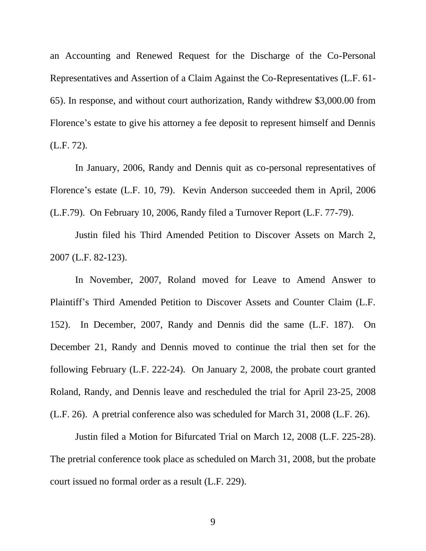an Accounting and Renewed Request for the Discharge of the Co-Personal Representatives and Assertion of a Claim Against the Co-Representatives (L.F. 61- 65). In response, and without court authorization, Randy withdrew \$3,000.00 from Florence's estate to give his attorney a fee deposit to represent himself and Dennis (L.F. 72).

In January, 2006, Randy and Dennis quit as co-personal representatives of Florence's estate (L.F. 10, 79). Kevin Anderson succeeded them in April, 2006 (L.F.79). On February 10, 2006, Randy filed a Turnover Report (L.F. 77-79).

Justin filed his Third Amended Petition to Discover Assets on March 2, 2007 (L.F. 82-123).

In November, 2007, Roland moved for Leave to Amend Answer to Plaintiff"s Third Amended Petition to Discover Assets and Counter Claim (L.F. 152). In December, 2007, Randy and Dennis did the same (L.F. 187). On December 21, Randy and Dennis moved to continue the trial then set for the following February (L.F. 222-24). On January 2, 2008, the probate court granted Roland, Randy, and Dennis leave and rescheduled the trial for April 23-25, 2008 (L.F. 26). A pretrial conference also was scheduled for March 31, 2008 (L.F. 26).

Justin filed a Motion for Bifurcated Trial on March 12, 2008 (L.F. 225-28). The pretrial conference took place as scheduled on March 31, 2008, but the probate court issued no formal order as a result (L.F. 229).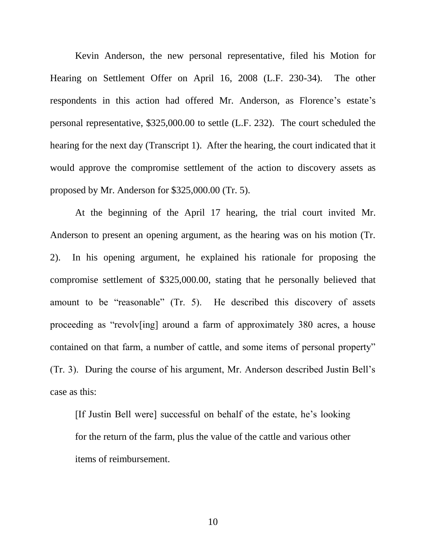Kevin Anderson, the new personal representative, filed his Motion for Hearing on Settlement Offer on April 16, 2008 (L.F. 230-34). The other respondents in this action had offered Mr. Anderson, as Florence's estate's personal representative, \$325,000.00 to settle (L.F. 232). The court scheduled the hearing for the next day (Transcript 1). After the hearing, the court indicated that it would approve the compromise settlement of the action to discovery assets as proposed by Mr. Anderson for \$325,000.00 (Tr. 5).

At the beginning of the April 17 hearing, the trial court invited Mr. Anderson to present an opening argument, as the hearing was on his motion (Tr. 2). In his opening argument, he explained his rationale for proposing the compromise settlement of \$325,000.00, stating that he personally believed that amount to be "reasonable" (Tr. 5). He described this discovery of assets proceeding as "revolv[ing] around a farm of approximately 380 acres, a house contained on that farm, a number of cattle, and some items of personal property" (Tr. 3). During the course of his argument, Mr. Anderson described Justin Bell"s case as this:

[If Justin Bell were] successful on behalf of the estate, he"s looking for the return of the farm, plus the value of the cattle and various other items of reimbursement.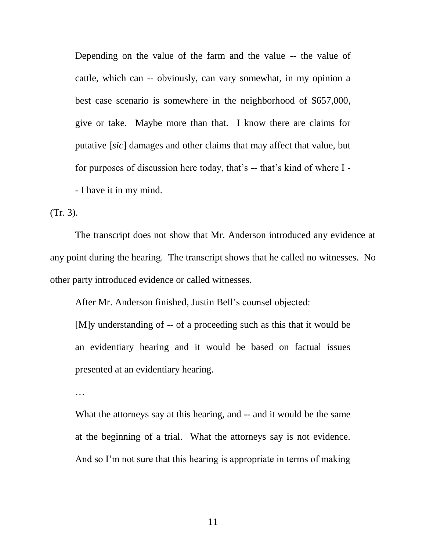Depending on the value of the farm and the value -- the value of cattle, which can -- obviously, can vary somewhat, in my opinion a best case scenario is somewhere in the neighborhood of \$657,000, give or take. Maybe more than that. I know there are claims for putative [*sic*] damages and other claims that may affect that value, but for purposes of discussion here today, that's -- that's kind of where I -- I have it in my mind.

(Tr. 3).

The transcript does not show that Mr. Anderson introduced any evidence at any point during the hearing. The transcript shows that he called no witnesses. No other party introduced evidence or called witnesses.

After Mr. Anderson finished, Justin Bell"s counsel objected:

[M]y understanding of -- of a proceeding such as this that it would be an evidentiary hearing and it would be based on factual issues presented at an evidentiary hearing.

…

What the attorneys say at this hearing, and -- and it would be the same at the beginning of a trial. What the attorneys say is not evidence. And so I'm not sure that this hearing is appropriate in terms of making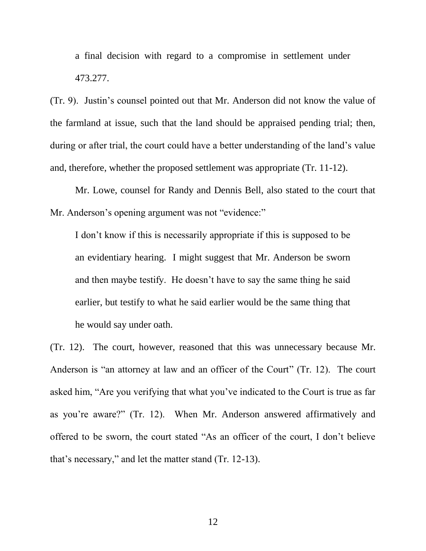a final decision with regard to a compromise in settlement under 473.277.

(Tr. 9). Justin"s counsel pointed out that Mr. Anderson did not know the value of the farmland at issue, such that the land should be appraised pending trial; then, during or after trial, the court could have a better understanding of the land"s value and, therefore, whether the proposed settlement was appropriate (Tr. 11-12).

Mr. Lowe, counsel for Randy and Dennis Bell, also stated to the court that Mr. Anderson's opening argument was not "evidence:"

I don"t know if this is necessarily appropriate if this is supposed to be an evidentiary hearing. I might suggest that Mr. Anderson be sworn and then maybe testify. He doesn't have to say the same thing he said earlier, but testify to what he said earlier would be the same thing that he would say under oath.

(Tr. 12). The court, however, reasoned that this was unnecessary because Mr. Anderson is "an attorney at law and an officer of the Court" (Tr. 12). The court asked him, "Are you verifying that what you"ve indicated to the Court is true as far as you"re aware?" (Tr. 12). When Mr. Anderson answered affirmatively and offered to be sworn, the court stated "As an officer of the court, I don"t believe that"s necessary," and let the matter stand (Tr. 12-13).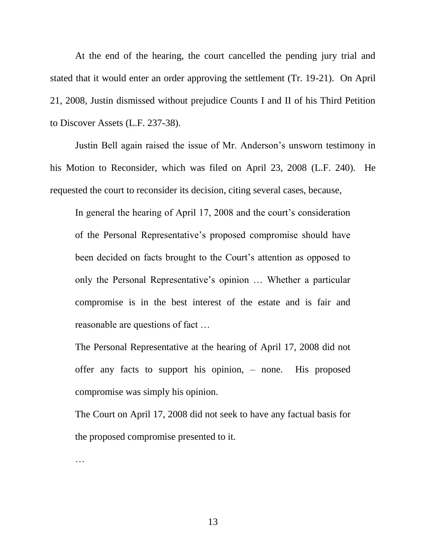At the end of the hearing, the court cancelled the pending jury trial and stated that it would enter an order approving the settlement (Tr. 19-21). On April 21, 2008, Justin dismissed without prejudice Counts I and II of his Third Petition to Discover Assets (L.F. 237-38).

Justin Bell again raised the issue of Mr. Anderson"s unsworn testimony in his Motion to Reconsider, which was filed on April 23, 2008 (L.F. 240). He requested the court to reconsider its decision, citing several cases, because,

In general the hearing of April 17, 2008 and the court's consideration of the Personal Representative"s proposed compromise should have been decided on facts brought to the Court's attention as opposed to only the Personal Representative"s opinion … Whether a particular compromise is in the best interest of the estate and is fair and reasonable are questions of fact …

The Personal Representative at the hearing of April 17, 2008 did not offer any facts to support his opinion, – none. His proposed compromise was simply his opinion.

The Court on April 17, 2008 did not seek to have any factual basis for the proposed compromise presented to it.

…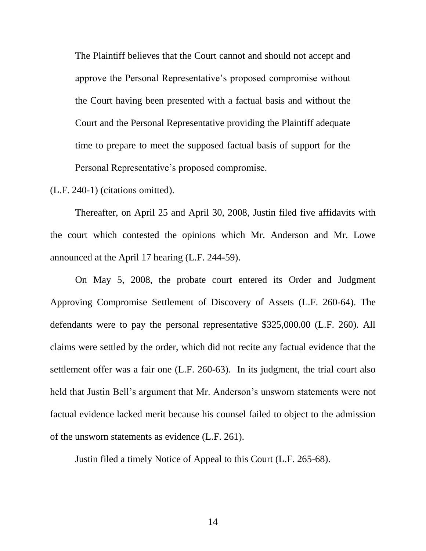The Plaintiff believes that the Court cannot and should not accept and approve the Personal Representative"s proposed compromise without the Court having been presented with a factual basis and without the Court and the Personal Representative providing the Plaintiff adequate time to prepare to meet the supposed factual basis of support for the Personal Representative"s proposed compromise.

(L.F. 240-1) (citations omitted).

Thereafter, on April 25 and April 30, 2008, Justin filed five affidavits with the court which contested the opinions which Mr. Anderson and Mr. Lowe announced at the April 17 hearing (L.F. 244-59).

On May 5, 2008, the probate court entered its Order and Judgment Approving Compromise Settlement of Discovery of Assets (L.F. 260-64). The defendants were to pay the personal representative \$325,000.00 (L.F. 260). All claims were settled by the order, which did not recite any factual evidence that the settlement offer was a fair one (L.F. 260-63). In its judgment, the trial court also held that Justin Bell's argument that Mr. Anderson's unsworn statements were not factual evidence lacked merit because his counsel failed to object to the admission of the unsworn statements as evidence (L.F. 261).

Justin filed a timely Notice of Appeal to this Court (L.F. 265-68).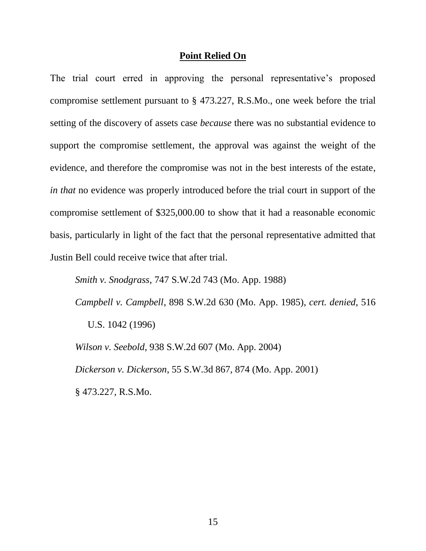#### **Point Relied On**

The trial court erred in approving the personal representative's proposed compromise settlement pursuant to § 473.227, R.S.Mo., one week before the trial setting of the discovery of assets case *because* there was no substantial evidence to support the compromise settlement, the approval was against the weight of the evidence, and therefore the compromise was not in the best interests of the estate, *in that* no evidence was properly introduced before the trial court in support of the compromise settlement of \$325,000.00 to show that it had a reasonable economic basis, particularly in light of the fact that the personal representative admitted that Justin Bell could receive twice that after trial.

*Smith v. Snodgrass*, 747 S.W.2d 743 (Mo. App. 1988)

*Campbell v. Campbell*, 898 S.W.2d 630 (Mo. App. 1985), *cert. denied*, 516 U.S. 1042 (1996)

*Wilson v. Seebold*, 938 S.W.2d 607 (Mo. App. 2004) *Dickerson v. Dickerson*, 55 S.W.3d 867, 874 (Mo. App. 2001) § 473.227, R.S.Mo.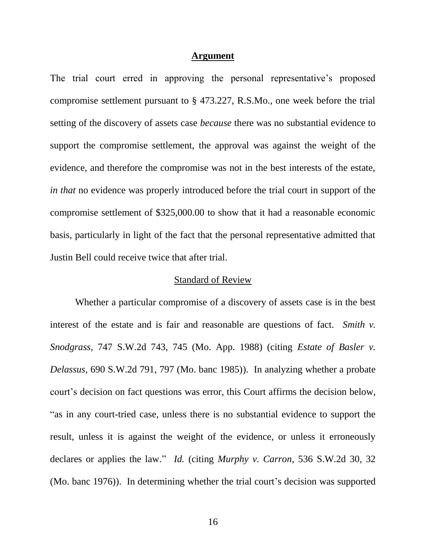#### **Argument**

The trial court erred in approving the personal representative's proposed compromise settlement pursuant to § 473.227, R.S.Mo., one week before the trial setting of the discovery of assets case *because* there was no substantial evidence to support the compromise settlement, the approval was against the weight of the evidence, and therefore the compromise was not in the best interests of the estate, *in that* no evidence was properly introduced before the trial court in support of the compromise settlement of \$325,000.00 to show that it had a reasonable economic basis, particularly in light of the fact that the personal representative admitted that Justin Bell could receive twice that after trial.

### Standard of Review

Whether a particular compromise of a discovery of assets case is in the best interest of the estate and is fair and reasonable are questions of fact. *Smith v. Snodgrass*, 747 S.W.2d 743, 745 (Mo. App. 1988) (citing *Estate of Basler v. Delassus*, 690 S.W.2d 791, 797 (Mo. banc 1985)). In analyzing whether a probate court"s decision on fact questions was error, this Court affirms the decision below, "as in any court-tried case, unless there is no substantial evidence to support the result, unless it is against the weight of the evidence, or unless it erroneously declares or applies the law." *Id.* (citing *Murphy v. Carron*, 536 S.W.2d 30, 32 (Mo. banc 1976)). In determining whether the trial court's decision was supported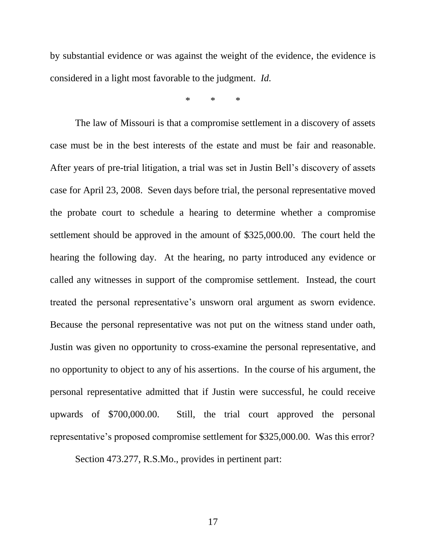by substantial evidence or was against the weight of the evidence, the evidence is considered in a light most favorable to the judgment. *Id.*

\* \* \*

The law of Missouri is that a compromise settlement in a discovery of assets case must be in the best interests of the estate and must be fair and reasonable. After years of pre-trial litigation, a trial was set in Justin Bell"s discovery of assets case for April 23, 2008. Seven days before trial, the personal representative moved the probate court to schedule a hearing to determine whether a compromise settlement should be approved in the amount of \$325,000.00. The court held the hearing the following day. At the hearing, no party introduced any evidence or called any witnesses in support of the compromise settlement. Instead, the court treated the personal representative"s unsworn oral argument as sworn evidence. Because the personal representative was not put on the witness stand under oath, Justin was given no opportunity to cross-examine the personal representative, and no opportunity to object to any of his assertions. In the course of his argument, the personal representative admitted that if Justin were successful, he could receive upwards of \$700,000.00. Still, the trial court approved the personal representative's proposed compromise settlement for \$325,000.00. Was this error?

Section 473.277, R.S.Mo., provides in pertinent part: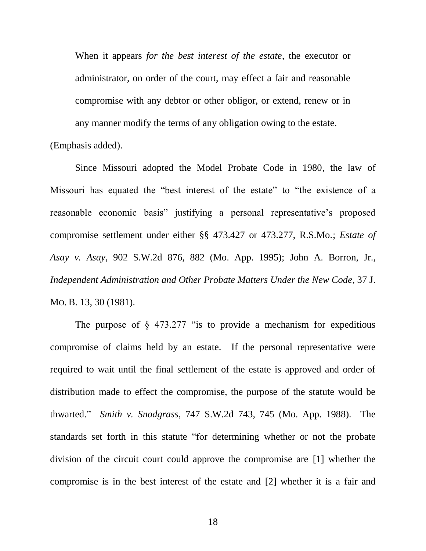When it appears *for the best interest of the estate*, the executor or administrator, on order of the court, may effect a fair and reasonable compromise with any debtor or other obligor, or extend, renew or in any manner modify the terms of any obligation owing to the estate.

(Emphasis added).

Since Missouri adopted the Model Probate Code in 1980, the law of Missouri has equated the "best interest of the estate" to "the existence of a reasonable economic basis" justifying a personal representative's proposed compromise settlement under either §§ 473.427 or 473.277, R.S.Mo.; *Estate of Asay v. Asay*, 902 S.W.2d 876, 882 (Mo. App. 1995); John A. Borron, Jr., *Independent Administration and Other Probate Matters Under the New Code*, 37 J. MO. B. 13, 30 (1981).

The purpose of  $\S$  473.277 "is to provide a mechanism for expeditious compromise of claims held by an estate. If the personal representative were required to wait until the final settlement of the estate is approved and order of distribution made to effect the compromise, the purpose of the statute would be thwarted." *Smith v. Snodgrass*, 747 S.W.2d 743, 745 (Mo. App. 1988). The standards set forth in this statute "for determining whether or not the probate division of the circuit court could approve the compromise are [1] whether the compromise is in the best interest of the estate and [2] whether it is a fair and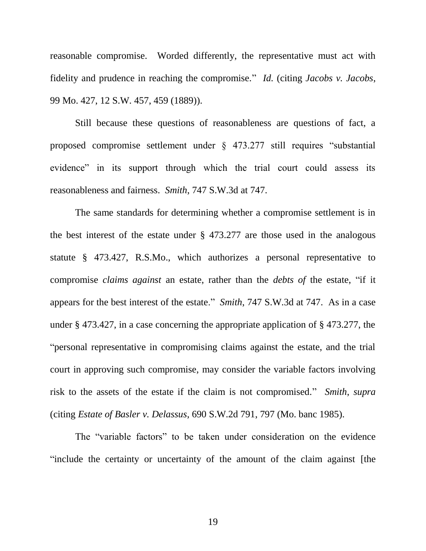reasonable compromise. Worded differently, the representative must act with fidelity and prudence in reaching the compromise." *Id.* (citing *Jacobs v. Jacobs*, 99 Mo. 427, 12 S.W. 457, 459 (1889)).

Still because these questions of reasonableness are questions of fact, a proposed compromise settlement under § 473.277 still requires "substantial evidence" in its support through which the trial court could assess its reasonableness and fairness. *Smith*, 747 S.W.3d at 747.

The same standards for determining whether a compromise settlement is in the best interest of the estate under § 473.277 are those used in the analogous statute § 473.427, R.S.Mo., which authorizes a personal representative to compromise *claims against* an estate, rather than the *debts of* the estate, "if it appears for the best interest of the estate." *Smith*, 747 S.W.3d at 747. As in a case under § 473.427, in a case concerning the appropriate application of § 473.277, the "personal representative in compromising claims against the estate, and the trial court in approving such compromise, may consider the variable factors involving risk to the assets of the estate if the claim is not compromised." *Smith*, *supra* (citing *Estate of Basler v. Delassus*, 690 S.W.2d 791, 797 (Mo. banc 1985).

The "variable factors" to be taken under consideration on the evidence "include the certainty or uncertainty of the amount of the claim against [the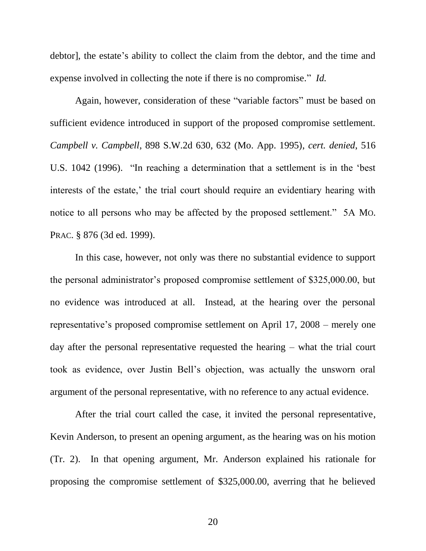debtor], the estate's ability to collect the claim from the debtor, and the time and expense involved in collecting the note if there is no compromise." *Id.*

Again, however, consideration of these "variable factors" must be based on sufficient evidence introduced in support of the proposed compromise settlement. *Campbell v. Campbell*, 898 S.W.2d 630, 632 (Mo. App. 1995), *cert. denied*, 516 U.S. 1042 (1996). "In reaching a determination that a settlement is in the "best interests of the estate,' the trial court should require an evidentiary hearing with notice to all persons who may be affected by the proposed settlement." 5A MO. PRAC. § 876 (3d ed. 1999).

In this case, however, not only was there no substantial evidence to support the personal administrator"s proposed compromise settlement of \$325,000.00, but no evidence was introduced at all. Instead, at the hearing over the personal representative"s proposed compromise settlement on April 17, 2008 – merely one day after the personal representative requested the hearing – what the trial court took as evidence, over Justin Bell"s objection, was actually the unsworn oral argument of the personal representative, with no reference to any actual evidence.

After the trial court called the case, it invited the personal representative, Kevin Anderson, to present an opening argument, as the hearing was on his motion (Tr. 2). In that opening argument, Mr. Anderson explained his rationale for proposing the compromise settlement of \$325,000.00, averring that he believed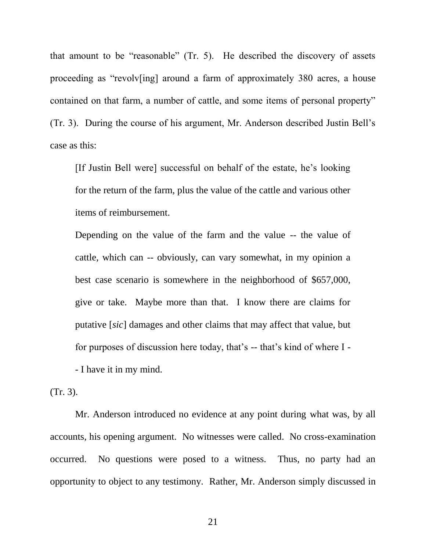that amount to be "reasonable" (Tr. 5). He described the discovery of assets proceeding as "revolv[ing] around a farm of approximately 380 acres, a house contained on that farm, a number of cattle, and some items of personal property" (Tr. 3). During the course of his argument, Mr. Anderson described Justin Bell"s case as this:

[If Justin Bell were] successful on behalf of the estate, he"s looking for the return of the farm, plus the value of the cattle and various other items of reimbursement.

Depending on the value of the farm and the value -- the value of cattle, which can -- obviously, can vary somewhat, in my opinion a best case scenario is somewhere in the neighborhood of \$657,000, give or take. Maybe more than that. I know there are claims for putative [*sic*] damages and other claims that may affect that value, but for purposes of discussion here today, that"s -- that"s kind of where I - - I have it in my mind.

(Tr. 3).

Mr. Anderson introduced no evidence at any point during what was, by all accounts, his opening argument. No witnesses were called. No cross-examination occurred. No questions were posed to a witness. Thus, no party had an opportunity to object to any testimony. Rather, Mr. Anderson simply discussed in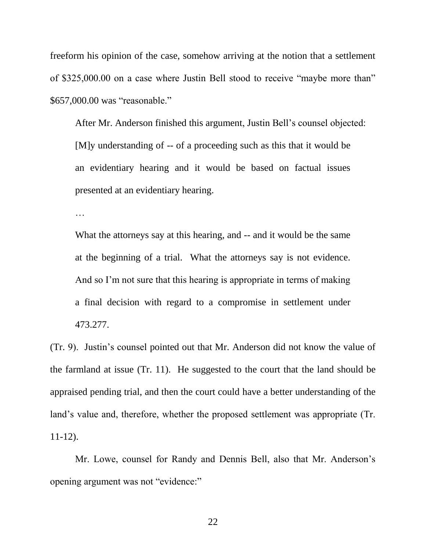freeform his opinion of the case, somehow arriving at the notion that a settlement of \$325,000.00 on a case where Justin Bell stood to receive "maybe more than" \$657,000.00 was "reasonable."

After Mr. Anderson finished this argument, Justin Bell"s counsel objected: [M]y understanding of -- of a proceeding such as this that it would be an evidentiary hearing and it would be based on factual issues presented at an evidentiary hearing.

…

What the attorneys say at this hearing, and -- and it would be the same at the beginning of a trial. What the attorneys say is not evidence. And so I'm not sure that this hearing is appropriate in terms of making a final decision with regard to a compromise in settlement under 473.277.

(Tr. 9). Justin"s counsel pointed out that Mr. Anderson did not know the value of the farmland at issue (Tr. 11). He suggested to the court that the land should be appraised pending trial, and then the court could have a better understanding of the land's value and, therefore, whether the proposed settlement was appropriate (Tr. 11-12).

Mr. Lowe, counsel for Randy and Dennis Bell, also that Mr. Anderson's opening argument was not "evidence:"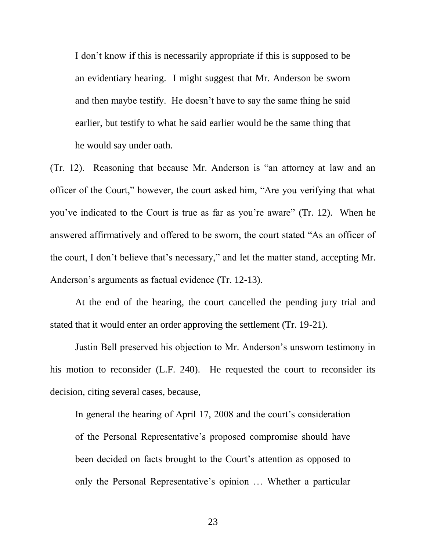I don"t know if this is necessarily appropriate if this is supposed to be an evidentiary hearing. I might suggest that Mr. Anderson be sworn and then maybe testify. He doesn't have to say the same thing he said earlier, but testify to what he said earlier would be the same thing that he would say under oath.

(Tr. 12). Reasoning that because Mr. Anderson is "an attorney at law and an officer of the Court," however, the court asked him, "Are you verifying that what you"ve indicated to the Court is true as far as you"re aware" (Tr. 12). When he answered affirmatively and offered to be sworn, the court stated "As an officer of the court, I don"t believe that"s necessary," and let the matter stand, accepting Mr. Anderson's arguments as factual evidence (Tr. 12-13).

At the end of the hearing, the court cancelled the pending jury trial and stated that it would enter an order approving the settlement (Tr. 19-21).

Justin Bell preserved his objection to Mr. Anderson"s unsworn testimony in his motion to reconsider (L.F. 240). He requested the court to reconsider its decision, citing several cases, because,

In general the hearing of April 17, 2008 and the court's consideration of the Personal Representative"s proposed compromise should have been decided on facts brought to the Court's attention as opposed to only the Personal Representative"s opinion … Whether a particular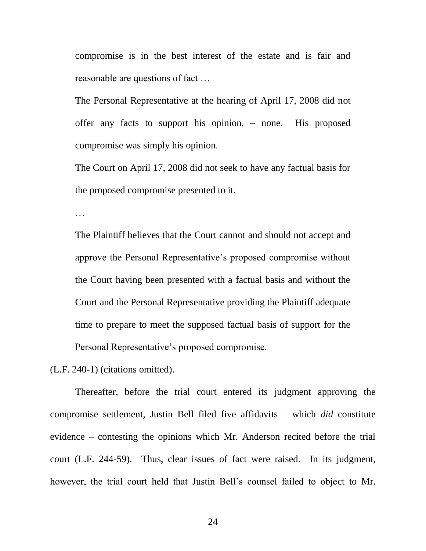compromise is in the best interest of the estate and is fair and reasonable are questions of fact …

The Personal Representative at the hearing of April 17, 2008 did not offer any facts to support his opinion, – none. His proposed compromise was simply his opinion.

The Court on April 17, 2008 did not seek to have any factual basis for the proposed compromise presented to it.

…

The Plaintiff believes that the Court cannot and should not accept and approve the Personal Representative"s proposed compromise without the Court having been presented with a factual basis and without the Court and the Personal Representative providing the Plaintiff adequate time to prepare to meet the supposed factual basis of support for the Personal Representative"s proposed compromise.

(L.F. 240-1) (citations omitted).

Thereafter, before the trial court entered its judgment approving the compromise settlement, Justin Bell filed five affidavits – which *did* constitute evidence – contesting the opinions which Mr. Anderson recited before the trial court (L.F. 244-59). Thus, clear issues of fact were raised. In its judgment, however, the trial court held that Justin Bell"s counsel failed to object to Mr.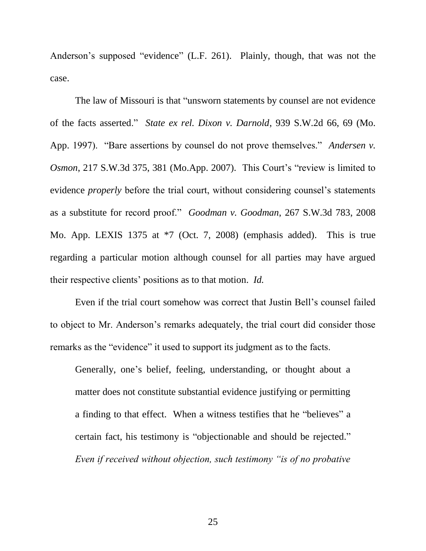Anderson's supposed "evidence" (L.F. 261). Plainly, though, that was not the case.

The law of Missouri is that "unsworn statements by counsel are not evidence of the facts asserted." *State ex rel. Dixon v. Darnold*, 939 S.W.2d 66, 69 (Mo. App. 1997). "Bare assertions by counsel do not prove themselves." *Andersen v. Osmon*, 217 S.W.3d 375, 381 (Mo.App. 2007). This Court's "review is limited to evidence *properly* before the trial court, without considering counsel's statements as a substitute for record proof." *Goodman v. Goodman*, 267 S.W.3d 783, 2008 Mo. App. LEXIS 1375 at \*7 (Oct. 7, 2008) (emphasis added). This is true regarding a particular motion although counsel for all parties may have argued their respective clients" positions as to that motion. *Id.*

Even if the trial court somehow was correct that Justin Bell"s counsel failed to object to Mr. Anderson"s remarks adequately, the trial court did consider those remarks as the "evidence" it used to support its judgment as to the facts.

Generally, one's belief, feeling, understanding, or thought about a matter does not constitute substantial evidence justifying or permitting a finding to that effect. When a witness testifies that he "believes" a certain fact, his testimony is "objectionable and should be rejected." *Even if received without objection, such testimony "is of no probative*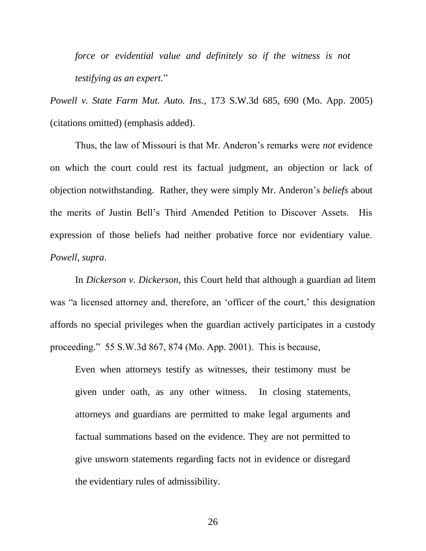*force or evidential value and definitely so if the witness is not testifying as an expert.*"

*Powell v. State Farm Mut. Auto. Ins.*, 173 S.W.3d 685, 690 (Mo. App. 2005) (citations omitted) (emphasis added).

Thus, the law of Missouri is that Mr. Anderon"s remarks were *not* evidence on which the court could rest its factual judgment, an objection or lack of objection notwithstanding. Rather, they were simply Mr. Anderon"s *beliefs* about the merits of Justin Bell"s Third Amended Petition to Discover Assets. His expression of those beliefs had neither probative force nor evidentiary value. *Powell*, *supra*.

In *Dickerson v. Dickerson*, this Court held that although a guardian ad litem was "a licensed attorney and, therefore, an 'officer of the court,' this designation affords no special privileges when the guardian actively participates in a custody proceeding." 55 S.W.3d 867, 874 (Mo. App. 2001). This is because,

Even when attorneys testify as witnesses, their testimony must be given under oath, as any other witness. In closing statements, attorneys and guardians are permitted to make legal arguments and factual summations based on the evidence. They are not permitted to give unsworn statements regarding facts not in evidence or disregard the evidentiary rules of admissibility.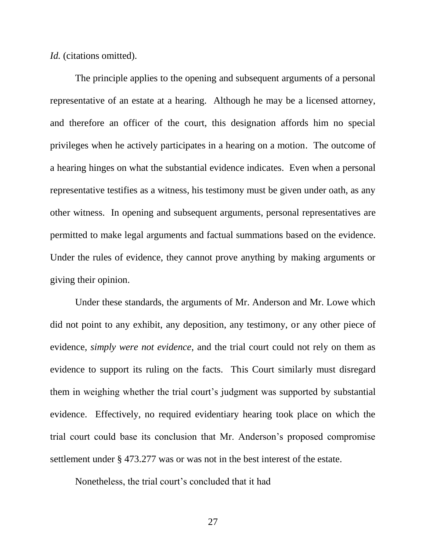*Id.* (citations omitted).

The principle applies to the opening and subsequent arguments of a personal representative of an estate at a hearing. Although he may be a licensed attorney, and therefore an officer of the court, this designation affords him no special privileges when he actively participates in a hearing on a motion. The outcome of a hearing hinges on what the substantial evidence indicates. Even when a personal representative testifies as a witness, his testimony must be given under oath, as any other witness. In opening and subsequent arguments, personal representatives are permitted to make legal arguments and factual summations based on the evidence. Under the rules of evidence, they cannot prove anything by making arguments or giving their opinion.

Under these standards, the arguments of Mr. Anderson and Mr. Lowe which did not point to any exhibit, any deposition, any testimony, or any other piece of evidence, *simply were not evidence*, and the trial court could not rely on them as evidence to support its ruling on the facts. This Court similarly must disregard them in weighing whether the trial court's judgment was supported by substantial evidence. Effectively, no required evidentiary hearing took place on which the trial court could base its conclusion that Mr. Anderson"s proposed compromise settlement under § 473.277 was or was not in the best interest of the estate.

Nonetheless, the trial court"s concluded that it had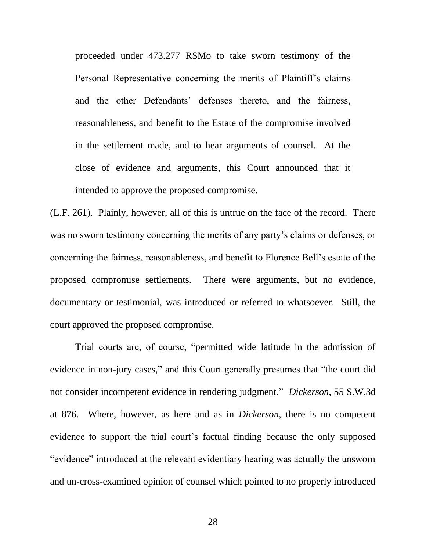proceeded under 473.277 RSMo to take sworn testimony of the Personal Representative concerning the merits of Plaintiff"s claims and the other Defendants' defenses thereto, and the fairness, reasonableness, and benefit to the Estate of the compromise involved in the settlement made, and to hear arguments of counsel. At the close of evidence and arguments, this Court announced that it intended to approve the proposed compromise.

(L.F. 261). Plainly, however, all of this is untrue on the face of the record. There was no sworn testimony concerning the merits of any party's claims or defenses, or concerning the fairness, reasonableness, and benefit to Florence Bell"s estate of the proposed compromise settlements. There were arguments, but no evidence, documentary or testimonial, was introduced or referred to whatsoever. Still, the court approved the proposed compromise.

Trial courts are, of course, "permitted wide latitude in the admission of evidence in non-jury cases," and this Court generally presumes that "the court did not consider incompetent evidence in rendering judgment." *Dickerson*, 55 S.W.3d at 876. Where, however, as here and as in *Dickerson*, there is no competent evidence to support the trial court's factual finding because the only supposed "evidence" introduced at the relevant evidentiary hearing was actually the unsworn and un-cross-examined opinion of counsel which pointed to no properly introduced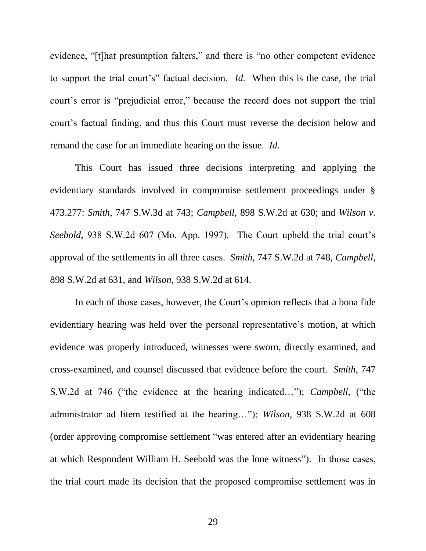evidence, "[t]hat presumption falters," and there is "no other competent evidence to support the trial court"s" factual decision. *Id.* When this is the case, the trial court's error is "prejudicial error," because the record does not support the trial court"s factual finding, and thus this Court must reverse the decision below and remand the case for an immediate hearing on the issue. *Id.*

This Court has issued three decisions interpreting and applying the evidentiary standards involved in compromise settlement proceedings under § 473.277: *Smith*, 747 S.W.3d at 743; *Campbell*, 898 S.W.2d at 630; and *Wilson v. Seebold*, 938 S.W.2d 607 (Mo. App. 1997). The Court upheld the trial court's approval of the settlements in all three cases. *Smith*, 747 S.W.2d at 748, *Campbell*, 898 S.W.2d at 631, and *Wilson*, 938 S.W.2d at 614.

In each of those cases, however, the Court's opinion reflects that a bona fide evidentiary hearing was held over the personal representative"s motion, at which evidence was properly introduced, witnesses were sworn, directly examined, and cross-examined, and counsel discussed that evidence before the court. *Smith*, 747 S.W.2d at 746 ("the evidence at the hearing indicated…"); *Campbell*, ("the administrator ad litem testified at the hearing…"); *Wilson*, 938 S.W.2d at 608 (order approving compromise settlement "was entered after an evidentiary hearing at which Respondent William H. Seebold was the lone witness"). In those cases, the trial court made its decision that the proposed compromise settlement was in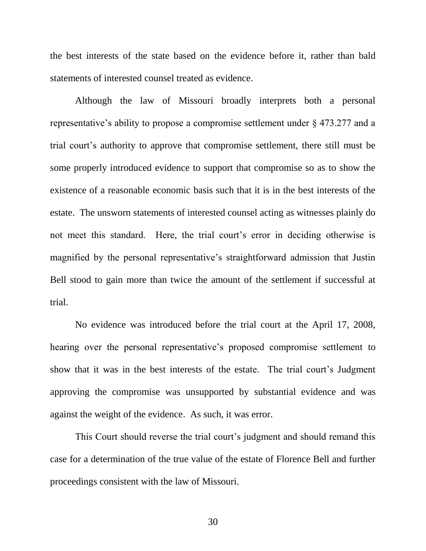the best interests of the state based on the evidence before it, rather than bald statements of interested counsel treated as evidence.

Although the law of Missouri broadly interprets both a personal representative's ability to propose a compromise settlement under  $\S$  473.277 and a trial court"s authority to approve that compromise settlement, there still must be some properly introduced evidence to support that compromise so as to show the existence of a reasonable economic basis such that it is in the best interests of the estate. The unsworn statements of interested counsel acting as witnesses plainly do not meet this standard. Here, the trial court's error in deciding otherwise is magnified by the personal representative's straightforward admission that Justin Bell stood to gain more than twice the amount of the settlement if successful at trial.

No evidence was introduced before the trial court at the April 17, 2008, hearing over the personal representative's proposed compromise settlement to show that it was in the best interests of the estate. The trial court"s Judgment approving the compromise was unsupported by substantial evidence and was against the weight of the evidence. As such, it was error.

This Court should reverse the trial court's judgment and should remand this case for a determination of the true value of the estate of Florence Bell and further proceedings consistent with the law of Missouri.